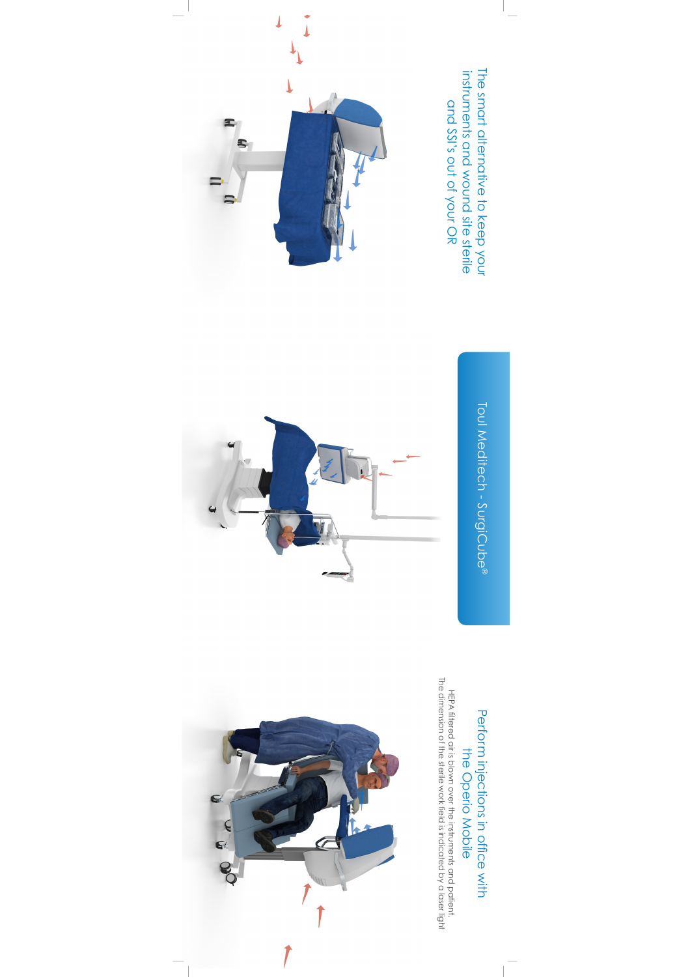

 $\overline{1}$ 

 $\equiv$ 

Perform injections in office with<br>the Operio Mobile Perform injections in offce with the Operio Mobile

 $\overline{\phantom{0}}$ 

Toul Meditech - SurgiCube Toul Meditech - SurgiCube®

The smart alternative to keep your

 $\mathbb{L}$